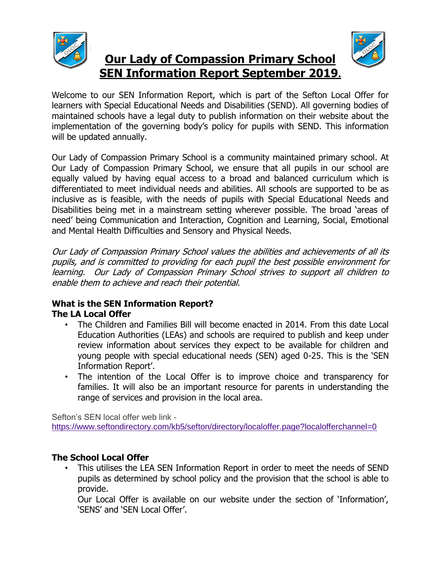



**Our Lady of Compassion Primary School SEN Information Report September 2019.**

Welcome to our SEN Information Report, which is part of the Sefton Local Offer for learners with Special Educational Needs and Disabilities (SEND). All governing bodies of maintained schools have a legal duty to publish information on their website about the implementation of the governing body's policy for pupils with SEND. This information will be updated annually.

Our Lady of Compassion Primary School is a community maintained primary school. At Our Lady of Compassion Primary School, we ensure that all pupils in our school are equally valued by having equal access to a broad and balanced curriculum which is differentiated to meet individual needs and abilities. All schools are supported to be as inclusive as is feasible, with the needs of pupils with Special Educational Needs and Disabilities being met in a mainstream setting wherever possible. The broad 'areas of need' being Communication and Interaction, Cognition and Learning, Social, Emotional and Mental Health Difficulties and Sensory and Physical Needs.

Our Lady of Compassion Primary School values the abilities and achievements of all its pupils, and is committed to providing for each pupil the best possible environment for learning. Our Lady of Compassion Primary School strives to support all children to enable them to achieve and reach their potential.

## **What is the SEN Information Report? The LA Local Offer**

- The Children and Families Bill will become enacted in 2014. From this date Local Education Authorities (LEAs) and schools are required to publish and keep under review information about services they expect to be available for children and young people with special educational needs (SEN) aged 0-25. This is the 'SEN Information Report'.
- The intention of the Local Offer is to improve choice and transparency for families. It will also be an important resource for parents in understanding the range of services and provision in the local area.

Sefton's SEN local offer web link <https://www.seftondirectory.com/kb5/sefton/directory/localoffer.page?localofferchannel=0>

## **The School Local Offer**

• This utilises the LEA SEN Information Report in order to meet the needs of SEND pupils as determined by school policy and the provision that the school is able to provide.

Our Local Offer is available on our website under the section of 'Information', 'SENS' and 'SEN Local Offer'.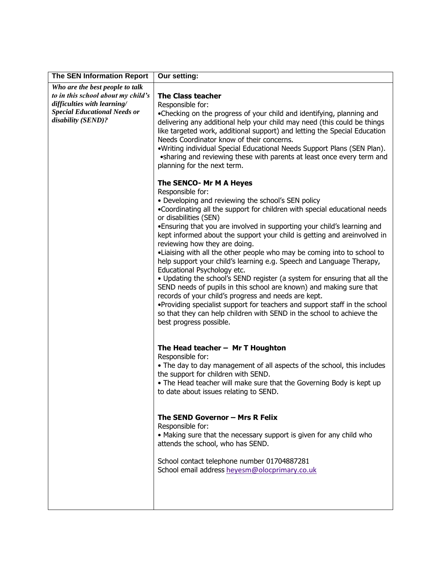| <b>The SEN Information Report</b>                                                        | Our setting:                                                                                                                                                                                                                                                                                                                                                                                                                                                                                                                                                                                                                                                                                                                                                                                                                                                                                                                                                                     |
|------------------------------------------------------------------------------------------|----------------------------------------------------------------------------------------------------------------------------------------------------------------------------------------------------------------------------------------------------------------------------------------------------------------------------------------------------------------------------------------------------------------------------------------------------------------------------------------------------------------------------------------------------------------------------------------------------------------------------------------------------------------------------------------------------------------------------------------------------------------------------------------------------------------------------------------------------------------------------------------------------------------------------------------------------------------------------------|
| Who are the best people to talk<br>to in this school about my child's                    | <b>The Class teacher</b>                                                                                                                                                                                                                                                                                                                                                                                                                                                                                                                                                                                                                                                                                                                                                                                                                                                                                                                                                         |
| difficulties with learning/<br><b>Special Educational Needs or</b><br>disability (SEND)? | Responsible for:<br>•Checking on the progress of your child and identifying, planning and<br>delivering any additional help your child may need (this could be things<br>like targeted work, additional support) and letting the Special Education<br>Needs Coordinator know of their concerns.<br>.Writing individual Special Educational Needs Support Plans (SEN Plan).<br>• sharing and reviewing these with parents at least once every term and<br>planning for the next term.                                                                                                                                                                                                                                                                                                                                                                                                                                                                                             |
|                                                                                          | The SENCO- Mr M A Heyes<br>Responsible for:<br>• Developing and reviewing the school's SEN policy<br>. Coordinating all the support for children with special educational needs<br>or disabilities (SEN)<br>•Ensuring that you are involved in supporting your child's learning and<br>kept informed about the support your child is getting and areinvolved in<br>reviewing how they are doing.<br>•Liaising with all the other people who may be coming into to school to<br>help support your child's learning e.g. Speech and Language Therapy,<br>Educational Psychology etc.<br>. Updating the school's SEND register (a system for ensuring that all the<br>SEND needs of pupils in this school are known) and making sure that<br>records of your child's progress and needs are kept.<br>•Providing specialist support for teachers and support staff in the school<br>so that they can help children with SEND in the school to achieve the<br>best progress possible. |
|                                                                                          | The Head teacher $-$ Mr T Houghton<br>Responsible for:<br>• The day to day management of all aspects of the school, this includes<br>the support for children with SEND.<br>. The Head teacher will make sure that the Governing Body is kept up<br>to date about issues relating to SEND.<br>The SEND Governor - Mrs R Felix<br>Responsible for:<br>• Making sure that the necessary support is given for any child who<br>attends the school, who has SEND.<br>School contact telephone number 01704887281<br>School email address heyesm@olocprimary.co.uk                                                                                                                                                                                                                                                                                                                                                                                                                    |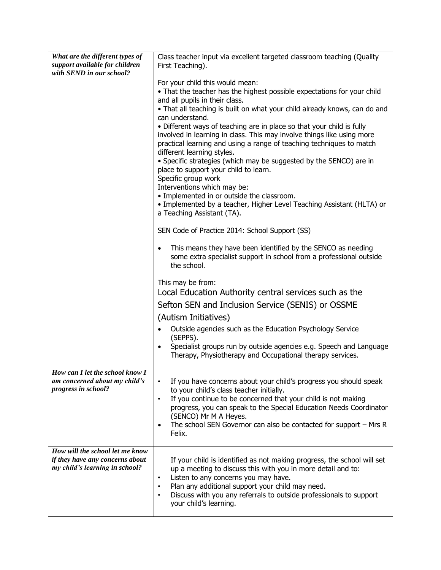| What are the different types of<br>support available for children<br>with SEND in our school?        | Class teacher input via excellent targeted classroom teaching (Quality<br>First Teaching).                                                                                                                                                                                                                                                                                                                                                                                                                                                                                                                                                                                                                                                                                                                                      |
|------------------------------------------------------------------------------------------------------|---------------------------------------------------------------------------------------------------------------------------------------------------------------------------------------------------------------------------------------------------------------------------------------------------------------------------------------------------------------------------------------------------------------------------------------------------------------------------------------------------------------------------------------------------------------------------------------------------------------------------------------------------------------------------------------------------------------------------------------------------------------------------------------------------------------------------------|
|                                                                                                      | For your child this would mean:<br>• That the teacher has the highest possible expectations for your child<br>and all pupils in their class.<br>. That all teaching is built on what your child already knows, can do and<br>can understand.<br>• Different ways of teaching are in place so that your child is fully<br>involved in learning in class. This may involve things like using more<br>practical learning and using a range of teaching techniques to match<br>different learning styles.<br>• Specific strategies (which may be suggested by the SENCO) are in<br>place to support your child to learn.<br>Specific group work<br>Interventions which may be:<br>· Implemented in or outside the classroom.<br>• Implemented by a teacher, Higher Level Teaching Assistant (HLTA) or<br>a Teaching Assistant (TA). |
|                                                                                                      | SEN Code of Practice 2014: School Support (SS)                                                                                                                                                                                                                                                                                                                                                                                                                                                                                                                                                                                                                                                                                                                                                                                  |
|                                                                                                      | This means they have been identified by the SENCO as needing<br>$\bullet$<br>some extra specialist support in school from a professional outside<br>the school.                                                                                                                                                                                                                                                                                                                                                                                                                                                                                                                                                                                                                                                                 |
|                                                                                                      | This may be from:<br>Local Education Authority central services such as the                                                                                                                                                                                                                                                                                                                                                                                                                                                                                                                                                                                                                                                                                                                                                     |
|                                                                                                      | Sefton SEN and Inclusion Service (SENIS) or OSSME                                                                                                                                                                                                                                                                                                                                                                                                                                                                                                                                                                                                                                                                                                                                                                               |
|                                                                                                      | (Autism Initiatives)                                                                                                                                                                                                                                                                                                                                                                                                                                                                                                                                                                                                                                                                                                                                                                                                            |
|                                                                                                      | Outside agencies such as the Education Psychology Service<br>$\bullet$<br>(SEPPS).<br>Specialist groups run by outside agencies e.g. Speech and Language<br>$\bullet$<br>Therapy, Physiotherapy and Occupational therapy services.                                                                                                                                                                                                                                                                                                                                                                                                                                                                                                                                                                                              |
| How can I let the school know I<br>am concerned about my child's<br>progress in school?              | If you have concerns about your child's progress you should speak<br>$\bullet$<br>to your child's class teacher initially.<br>If you continue to be concerned that your child is not making<br>$\bullet$<br>progress, you can speak to the Special Education Needs Coordinator<br>(SENCO) Mr M A Heyes.<br>The school SEN Governor can also be contacted for support - Mrs R<br>Felix.                                                                                                                                                                                                                                                                                                                                                                                                                                          |
| How will the school let me know<br>if they have any concerns about<br>my child's learning in school? | If your child is identified as not making progress, the school will set<br>up a meeting to discuss this with you in more detail and to:<br>Listen to any concerns you may have.<br>$\bullet$<br>Plan any additional support your child may need.<br>Discuss with you any referrals to outside professionals to support<br>your child's learning.                                                                                                                                                                                                                                                                                                                                                                                                                                                                                |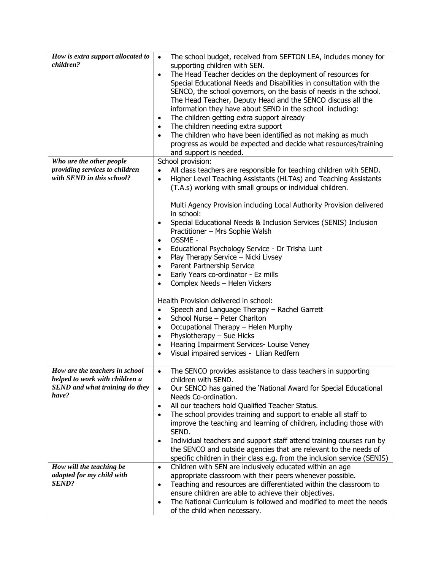| How is extra support allocated to                                | The school budget, received from SEFTON LEA, includes money for<br>$\bullet$       |
|------------------------------------------------------------------|------------------------------------------------------------------------------------|
| children?                                                        | supporting children with SEN.                                                      |
|                                                                  | The Head Teacher decides on the deployment of resources for<br>$\bullet$           |
|                                                                  | Special Educational Needs and Disabilities in consultation with the                |
|                                                                  | SENCO, the school governors, on the basis of needs in the school.                  |
|                                                                  | The Head Teacher, Deputy Head and the SENCO discuss all the                        |
|                                                                  | information they have about SEND in the school including:                          |
|                                                                  | The children getting extra support already<br>$\bullet$                            |
|                                                                  | The children needing extra support<br>$\bullet$                                    |
|                                                                  | The children who have been identified as not making as much<br>$\bullet$           |
|                                                                  | progress as would be expected and decide what resources/training                   |
|                                                                  | and support is needed.                                                             |
| Who are the other people                                         | School provision:                                                                  |
| providing services to children                                   |                                                                                    |
| with SEND in this school?                                        | All class teachers are responsible for teaching children with SEND.<br>$\bullet$   |
|                                                                  | Higher Level Teaching Assistants (HLTAs) and Teaching Assistants<br>$\bullet$      |
|                                                                  | (T.A.s) working with small groups or individual children.                          |
|                                                                  |                                                                                    |
|                                                                  | Multi Agency Provision including Local Authority Provision delivered<br>in school: |
|                                                                  | Special Educational Needs & Inclusion Services (SENIS) Inclusion<br>٠              |
|                                                                  | Practitioner - Mrs Sophie Walsh                                                    |
|                                                                  | OSSME -<br>$\bullet$                                                               |
|                                                                  |                                                                                    |
|                                                                  | Educational Psychology Service - Dr Trisha Lunt<br>٠                               |
|                                                                  | Play Therapy Service - Nicki Livsey<br>$\bullet$                                   |
|                                                                  | Parent Partnership Service<br>$\bullet$                                            |
|                                                                  | Early Years co-ordinator - Ez mills<br>$\bullet$                                   |
|                                                                  | Complex Needs - Helen Vickers<br>$\bullet$                                         |
|                                                                  |                                                                                    |
|                                                                  | Health Provision delivered in school:                                              |
|                                                                  | Speech and Language Therapy - Rachel Garrett<br>$\bullet$                          |
|                                                                  | School Nurse - Peter Charlton<br>$\bullet$                                         |
|                                                                  | Occupational Therapy - Helen Murphy<br>$\bullet$                                   |
|                                                                  | Physiotherapy - Sue Hicks<br>$\bullet$                                             |
|                                                                  | Hearing Impairment Services- Louise Veney<br>$\bullet$                             |
|                                                                  | Visual impaired services - Lilian Redfern<br>٠                                     |
|                                                                  |                                                                                    |
| How are the teachers in school<br>helped to work with children a | The SENCO provides assistance to class teachers in supporting<br>$\bullet$         |
|                                                                  | children with SEND.                                                                |
| SEND and what training do they<br>have?                          | Our SENCO has gained the 'National Award for Special Educational<br>$\bullet$      |
|                                                                  | Needs Co-ordination.                                                               |
|                                                                  | All our teachers hold Qualified Teacher Status.<br>$\bullet$                       |
|                                                                  | The school provides training and support to enable all staff to<br>$\bullet$       |
|                                                                  | improve the teaching and learning of children, including those with                |
|                                                                  | SEND.                                                                              |
|                                                                  | Individual teachers and support staff attend training courses run by<br>$\bullet$  |
|                                                                  | the SENCO and outside agencies that are relevant to the needs of                   |
|                                                                  | specific children in their class e.g. from the inclusion service (SENIS)           |
| How will the teaching be                                         | Children with SEN are inclusively educated within an age<br>$\bullet$              |
| adapted for my child with                                        | appropriate classroom with their peers whenever possible.                          |
| <b>SEND?</b>                                                     | Teaching and resources are differentiated within the classroom to<br>$\bullet$     |
|                                                                  | ensure children are able to achieve their objectives.                              |
|                                                                  | The National Curriculum is followed and modified to meet the needs<br>$\bullet$    |
|                                                                  | of the child when necessary.                                                       |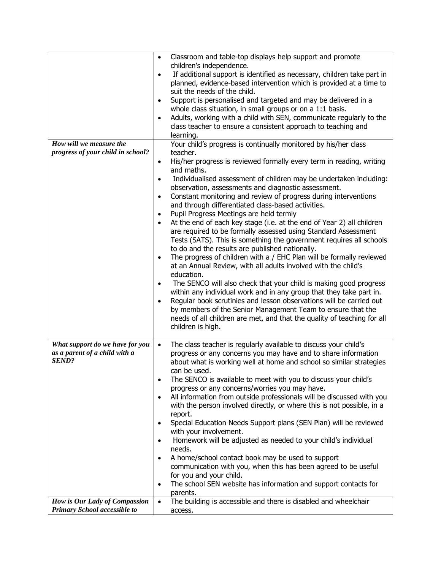| How will we measure the<br>progress of your child in school?                   | Classroom and table-top displays help support and promote<br>$\bullet$<br>children's independence.<br>If additional support is identified as necessary, children take part in<br>$\bullet$<br>planned, evidence-based intervention which is provided at a time to<br>suit the needs of the child.<br>Support is personalised and targeted and may be delivered in a<br>$\bullet$<br>whole class situation, in small groups or on a 1:1 basis.<br>Adults, working with a child with SEN, communicate regularly to the<br>$\bullet$<br>class teacher to ensure a consistent approach to teaching and<br>learning.<br>Your child's progress is continually monitored by his/her class<br>teacher.<br>His/her progress is reviewed formally every term in reading, writing<br>$\bullet$<br>and maths.<br>Individualised assessment of children may be undertaken including:<br>$\bullet$<br>observation, assessments and diagnostic assessment.<br>Constant monitoring and review of progress during interventions<br>$\bullet$<br>and through differentiated class-based activities.<br>Pupil Progress Meetings are held termly<br>$\bullet$<br>At the end of each key stage (i.e. at the end of Year 2) all children<br>$\bullet$<br>are required to be formally assessed using Standard Assessment<br>Tests (SATS). This is something the government requires all schools<br>to do and the results are published nationally.<br>The progress of children with a / EHC Plan will be formally reviewed<br>$\bullet$<br>at an Annual Review, with all adults involved with the child's<br>education.<br>The SENCO will also check that your child is making good progress<br>$\bullet$<br>within any individual work and in any group that they take part in.<br>Regular book scrutinies and lesson observations will be carried out<br>$\bullet$<br>by members of the Senior Management Team to ensure that the |
|--------------------------------------------------------------------------------|--------------------------------------------------------------------------------------------------------------------------------------------------------------------------------------------------------------------------------------------------------------------------------------------------------------------------------------------------------------------------------------------------------------------------------------------------------------------------------------------------------------------------------------------------------------------------------------------------------------------------------------------------------------------------------------------------------------------------------------------------------------------------------------------------------------------------------------------------------------------------------------------------------------------------------------------------------------------------------------------------------------------------------------------------------------------------------------------------------------------------------------------------------------------------------------------------------------------------------------------------------------------------------------------------------------------------------------------------------------------------------------------------------------------------------------------------------------------------------------------------------------------------------------------------------------------------------------------------------------------------------------------------------------------------------------------------------------------------------------------------------------------------------------------------------------------------------------------------------------------------------------------------------------|
| What support do we have for you                                                | needs of all children are met, and that the quality of teaching for all<br>children is high.<br>The class teacher is regularly available to discuss your child's<br>$\bullet$                                                                                                                                                                                                                                                                                                                                                                                                                                                                                                                                                                                                                                                                                                                                                                                                                                                                                                                                                                                                                                                                                                                                                                                                                                                                                                                                                                                                                                                                                                                                                                                                                                                                                                                                |
| as a parent of a child with a<br><b>SEND?</b><br>How is Our Lady of Compassion | progress or any concerns you may have and to share information<br>about what is working well at home and school so similar strategies<br>can be used.<br>The SENCO is available to meet with you to discuss your child's<br>$\bullet$<br>progress or any concerns/worries you may have.<br>All information from outside professionals will be discussed with you<br>$\bullet$<br>with the person involved directly, or where this is not possible, in a<br>report.<br>Special Education Needs Support plans (SEN Plan) will be reviewed<br>with your involvement.<br>Homework will be adjusted as needed to your child's individual<br>$\bullet$<br>needs.<br>A home/school contact book may be used to support<br>$\bullet$<br>communication with you, when this has been agreed to be useful<br>for you and your child.<br>The school SEN website has information and support contacts for<br>$\bullet$<br>parents.<br>The building is accessible and there is disabled and wheelchair<br>$\bullet$                                                                                                                                                                                                                                                                                                                                                                                                                                                                                                                                                                                                                                                                                                                                                                                                                                                                                                        |
| Primary School accessible to                                                   | access.                                                                                                                                                                                                                                                                                                                                                                                                                                                                                                                                                                                                                                                                                                                                                                                                                                                                                                                                                                                                                                                                                                                                                                                                                                                                                                                                                                                                                                                                                                                                                                                                                                                                                                                                                                                                                                                                                                      |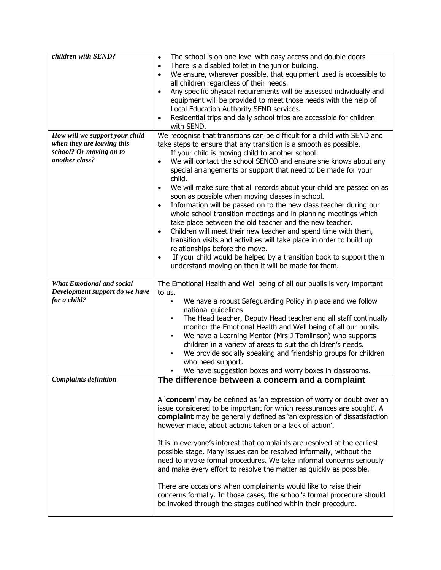| children with SEND?                                                                                       | The school is on one level with easy access and double doors<br>$\bullet$<br>There is a disabled toilet in the junior building.<br>$\bullet$<br>We ensure, wherever possible, that equipment used is accessible to<br>$\bullet$                                                                                                                                                                                                                                                                                                                                                                                                                                                                                                                                                                                                                                                                                                                                                                                                                          |
|-----------------------------------------------------------------------------------------------------------|----------------------------------------------------------------------------------------------------------------------------------------------------------------------------------------------------------------------------------------------------------------------------------------------------------------------------------------------------------------------------------------------------------------------------------------------------------------------------------------------------------------------------------------------------------------------------------------------------------------------------------------------------------------------------------------------------------------------------------------------------------------------------------------------------------------------------------------------------------------------------------------------------------------------------------------------------------------------------------------------------------------------------------------------------------|
|                                                                                                           | all children regardless of their needs.<br>Any specific physical requirements will be assessed individually and<br>$\bullet$<br>equipment will be provided to meet those needs with the help of<br>Local Education Authority SEND services.<br>Residential trips and daily school trips are accessible for children<br>$\bullet$                                                                                                                                                                                                                                                                                                                                                                                                                                                                                                                                                                                                                                                                                                                         |
|                                                                                                           | with SEND.                                                                                                                                                                                                                                                                                                                                                                                                                                                                                                                                                                                                                                                                                                                                                                                                                                                                                                                                                                                                                                               |
| How will we support your child<br>when they are leaving this<br>school? Or moving on to<br>another class? | We recognise that transitions can be difficult for a child with SEND and<br>take steps to ensure that any transition is a smooth as possible.<br>If your child is moving child to another school:<br>We will contact the school SENCO and ensure she knows about any<br>$\bullet$<br>special arrangements or support that need to be made for your<br>child.<br>We will make sure that all records about your child are passed on as<br>$\bullet$<br>soon as possible when moving classes in school.<br>Information will be passed on to the new class teacher during our<br>$\bullet$<br>whole school transition meetings and in planning meetings which<br>take place between the old teacher and the new teacher.<br>Children will meet their new teacher and spend time with them,<br>$\bullet$<br>transition visits and activities will take place in order to build up<br>relationships before the move.<br>If your child would be helped by a transition book to support them<br>$\bullet$<br>understand moving on then it will be made for them. |
| <b>What Emotional and social</b>                                                                          | The Emotional Health and Well being of all our pupils is very important                                                                                                                                                                                                                                                                                                                                                                                                                                                                                                                                                                                                                                                                                                                                                                                                                                                                                                                                                                                  |
| Development support do we have<br>for a child?                                                            | to us.<br>We have a robust Safeguarding Policy in place and we follow<br>$\bullet$<br>national guidelines<br>The Head teacher, Deputy Head teacher and all staff continually<br>$\bullet$<br>monitor the Emotional Health and Well being of all our pupils.<br>We have a Learning Mentor (Mrs J Tomlinson) who supports<br>$\bullet$<br>children in a variety of areas to suit the children's needs.<br>We provide socially speaking and friendship groups for children<br>$\bullet$<br>who need support.<br>We have suggestion boxes and worry boxes in classrooms.                                                                                                                                                                                                                                                                                                                                                                                                                                                                                     |
| <b>Complaints definition</b>                                                                              | The difference between a concern and a complaint                                                                                                                                                                                                                                                                                                                                                                                                                                                                                                                                                                                                                                                                                                                                                                                                                                                                                                                                                                                                         |
|                                                                                                           | A 'concern' may be defined as 'an expression of worry or doubt over an<br>issue considered to be important for which reassurances are sought'. A<br>complaint may be generally defined as 'an expression of dissatisfaction<br>however made, about actions taken or a lack of action'.                                                                                                                                                                                                                                                                                                                                                                                                                                                                                                                                                                                                                                                                                                                                                                   |
|                                                                                                           | It is in everyone's interest that complaints are resolved at the earliest<br>possible stage. Many issues can be resolved informally, without the<br>need to invoke formal procedures. We take informal concerns seriously<br>and make every effort to resolve the matter as quickly as possible.                                                                                                                                                                                                                                                                                                                                                                                                                                                                                                                                                                                                                                                                                                                                                         |
|                                                                                                           | There are occasions when complainants would like to raise their<br>concerns formally. In those cases, the school's formal procedure should<br>be invoked through the stages outlined within their procedure.                                                                                                                                                                                                                                                                                                                                                                                                                                                                                                                                                                                                                                                                                                                                                                                                                                             |